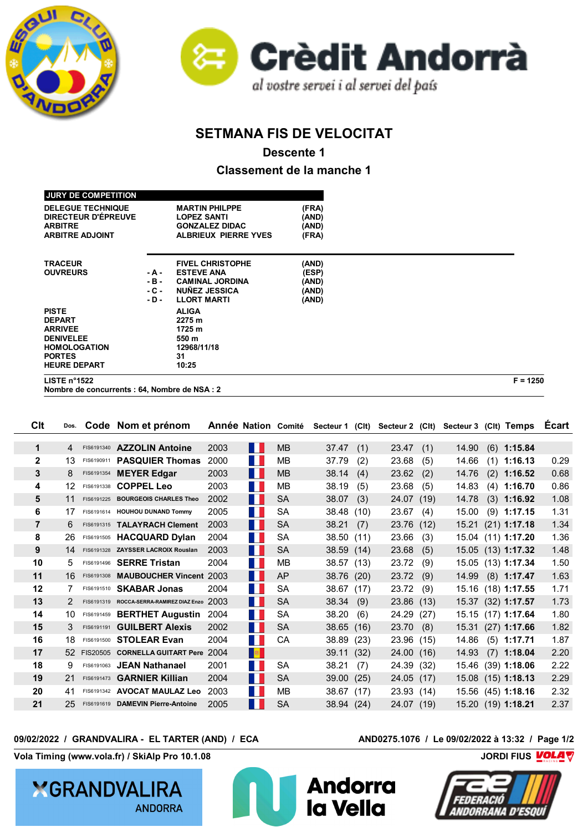



## **SETMANA FIS DE VELOCITAT**

**Descente 1**

**Classement de la manche 1**

| LISTE $n^{\circ}$ 1522     |        |                             |       | $F = 1250$ |
|----------------------------|--------|-----------------------------|-------|------------|
| <b>HEURE DEPART</b>        |        | 10:25                       |       |            |
| <b>PORTES</b>              |        | 31                          |       |            |
| <b>HOMOLOGATION</b>        |        | 12968/11/18                 |       |            |
| <b>DENIVELEE</b>           |        | 550 m                       |       |            |
| <b>ARRIVEE</b>             |        | 1725 m                      |       |            |
| <b>DEPART</b>              |        | 2275 m                      |       |            |
| <b>PISTE</b>               |        | <b>ALIGA</b>                |       |            |
|                            | - D -  | <b>LLORT MARTI</b>          | (AND) |            |
|                            | $-C -$ | <b>NUÑEZ JESSICA</b>        | (AND) |            |
|                            | - B -  | <b>CAMINAL JORDINA</b>      | (AND) |            |
| <b>OUVREURS</b>            | - A -  | <b>ESTEVE ANA</b>           | (ESP) |            |
| <b>TRACEUR</b>             |        | <b>FIVEL CHRISTOPHE</b>     | (AND) |            |
| <b>ARBITRE ADJOINT</b>     |        | <b>ALBRIEUX PIERRE YVES</b> | (FRA) |            |
| <b>ARBITRE</b>             |        | <b>GONZALEZ DIDAC</b>       | (AND) |            |
| <b>DIRECTEUR D'ÉPREUVE</b> |        | <b>LOPEZ SANTI</b>          | (AND) |            |
| <b>DELEGUE TECHNIQUE</b>   |        | <b>MARTIN PHILPPE</b>       | (FRA) |            |
|                            |        |                             |       |            |
| <b>JURY DE COMPETITION</b> |        |                             |       |            |

**Nombre de concurrents : 64, Nombre de NSA : 2**

| <b>C</b> It    | Dos. |            | Code Nom et prénom                       |      |                             | <b>Année Nation Comité</b> |            |      | Secteur 1 (Clt) Secteur 2 (Clt) |      | Secteur 3 (Clt) Temps |                    | Ecart |
|----------------|------|------------|------------------------------------------|------|-----------------------------|----------------------------|------------|------|---------------------------------|------|-----------------------|--------------------|-------|
| $\mathbf 1$    | 4    |            | FIS6191340 AZZOLIN Antoine               | 2003 | $\mathcal{O}(\mathbb{R}^d)$ | <b>MB</b>                  | 37.47      | (1)  | 23.47                           | (1)  | 14.90                 | $(6)$ 1:15.84      |       |
| $\mathbf{2}$   | 13   | FIS6190911 | <b>PASQUIER Thomas</b>                   | 2000 | M.                          | MВ                         | 37.79      | (2)  | 23.68                           | (5)  | 14.66                 | $(1)$ 1:16.13      | 0.29  |
| 3              | 8    | FIS6191354 | <b>MEYER Edgar</b>                       | 2003 | <b>The Co</b>               | <b>MB</b>                  | 38.14      | (4)  | 23.62                           | (2)  | 14.76                 | $(2)$ 1:16.52      | 0.68  |
| 4              | 12   | FIS6191338 | <b>COPPEL Leo</b>                        | 2003 | M.                          | MВ                         | 38.19      | (5)  | 23.68                           | (5)  | 14.83                 | $(4)$ 1:16.70      | 0.86  |
| 5              | 11   |            | FIS6191225 BOURGEOIS CHARLES Theo        | 2002 | M.                          | <b>SA</b>                  | 38.07      | (3)  | 24.07                           | (19) | 14.78                 | $(3)$ 1:16.92      | 1.08  |
| 6              | 17   |            | FIS6191614 HOUHOU DUNAND Tommy           | 2005 | <b>TER</b>                  | <b>SA</b>                  | 38.48      | (10) | 23.67                           | (4)  | 15.00                 | $(9)$ 1:17.15      | 1.31  |
| $\overline{7}$ | 6    |            | FIS6191315 TALAYRACH Clement             | 2003 | $\mathcal{O}(\mathbb{R}^3)$ | <b>SA</b>                  | 38.21      | (7)  | 23.76 (12)                      |      | 15.21                 | $(21)$ 1:17.18     | 1.34  |
| 8              | 26   |            | FIS6191505 HACQUARD Dylan                | 2004 | <b>TER</b>                  | <b>SA</b>                  | 38.50      | (11) | 23.66                           | (3)  |                       | 15.04 (11) 1:17.20 | 1.36  |
| 9              | 14   |            | FIS6191328 ZAYSSER LACROIX Rouslan       | 2003 | H.                          | <b>SA</b>                  | 38.59(14)  |      | 23.68                           | (5)  |                       | 15.05 (13) 1:17.32 | 1.48  |
| 10             | 5    |            | FIS6191496 SERRE Tristan                 | 2004 | M.                          | MВ                         | 38.57 (13) |      | 23.72                           | (9)  |                       | 15.05 (13) 1:17.34 | 1.50  |
| 11             | 16   | FIS6191308 | <b>MAUBOUCHER Vincent 2003</b>           |      | M.                          | AP                         | 38.76 (20) |      | 23.72                           | (9)  | 14.99                 | $(8)$ 1:17.47      | 1.63  |
| 12             | 7    |            | FIS6191510 <b>SKABAR Jonas</b>           | 2004 | $\mathcal{O}(\mathbb{R}^d)$ | <b>SA</b>                  | 38.67 (17) |      | 23.72                           | (9)  | 15.16                 | $(18)$ 1:17.55     | 1.71  |
| 13             | 2    |            | FIS6191319 ROCCA-SERRA-RAMIREZ DIAZ Enzo | 2003 | H.                          | <b>SA</b>                  | 38.34      | (9)  | 23.86 (13)                      |      | 15.37                 | $(32)$ 1:17.57     | 1.73  |
| 14             | 10   |            | FIS6191459 BERTHET Augustin              | 2004 | Ш                           | SA                         | 38.20      | (6)  | 24.29 (27)                      |      | 15.15                 | $(17)$ 1:17.64     | 1.80  |
| 15             | 3    | FIS6191191 | <b>GUILBERT Alexis</b>                   | 2002 | M.                          | <b>SA</b>                  | 38.65      | (16) | 23.70                           | (8)  | 15.31                 | $(27)$ 1:17.66     | 1.82  |
| 16             | 18   |            | FIS6191500 STOLEAR Evan                  | 2004 | M.                          | CA                         | 38.89      | (23) | 23.96 (15)                      |      | 14.86                 | $(5)$ 1:17.71      | 1.87  |
| 17             |      |            | 52 FIS20505 CORNELLA GUITART Pere 2004   |      | <b>B</b>                    |                            | 39.11      | (32) | 24.00 (16)                      |      | 14.93                 | $(7)$ 1:18.04      | 2.20  |
| 18             | 9    | FIS6191063 | <b>JEAN Nathanael</b>                    | 2001 | H.                          | <b>SA</b>                  | 38.21      | (7)  | 24.39 (32)                      |      | 15.46                 | $(39)$ 1:18.06     | 2.22  |
| 19             | 21   | FIS6191473 | <b>GARNIER Killian</b>                   | 2004 | $\mathcal{O}(\mathbb{R}^d)$ | <b>SA</b>                  | 39.00      | (25) | 24.05(17)                       |      | 15.08                 | $(15)$ 1:18.13     | 2.29  |
| 20             | 41   |            | FIS6191342 AVOCAT MAULAZ Leo             | 2003 | H.                          | MВ                         | 38.67      | (17) | 23.93 (14)                      |      |                       | 15.56 (45) 1:18.16 | 2.32  |
| 21             | 25   |            | FIS6191619 DAMEVIN Pierre-Antoine        | 2005 | M.                          | <b>SA</b>                  | 38.94 (24) |      | 24.07 (19)                      |      |                       | 15.20 (19) 1:18.21 | 2.37  |

## **09/02/2022 / GRANDVALIRA - EL TARTER (AND) / ECA AND0275.1076 / Le 09/02/2022 à 13:32 / Page 1/2**

**Vola Timing (www.vola.fr) / SkiAlp Pro 10.1.08 CONSERVIATES AND RESERVE THE MODEL TO A VIOLET VIOLET VIOLET VIOLET VIOLET VIOLET VIOLET VIOLET VIOLET VIOLET VIOLET VIOLET VIOLET VIOLET VIOLET VIOLET VIOLET VIOLET VIOLET** 

**XGRANDVALIRA ANDORRA**